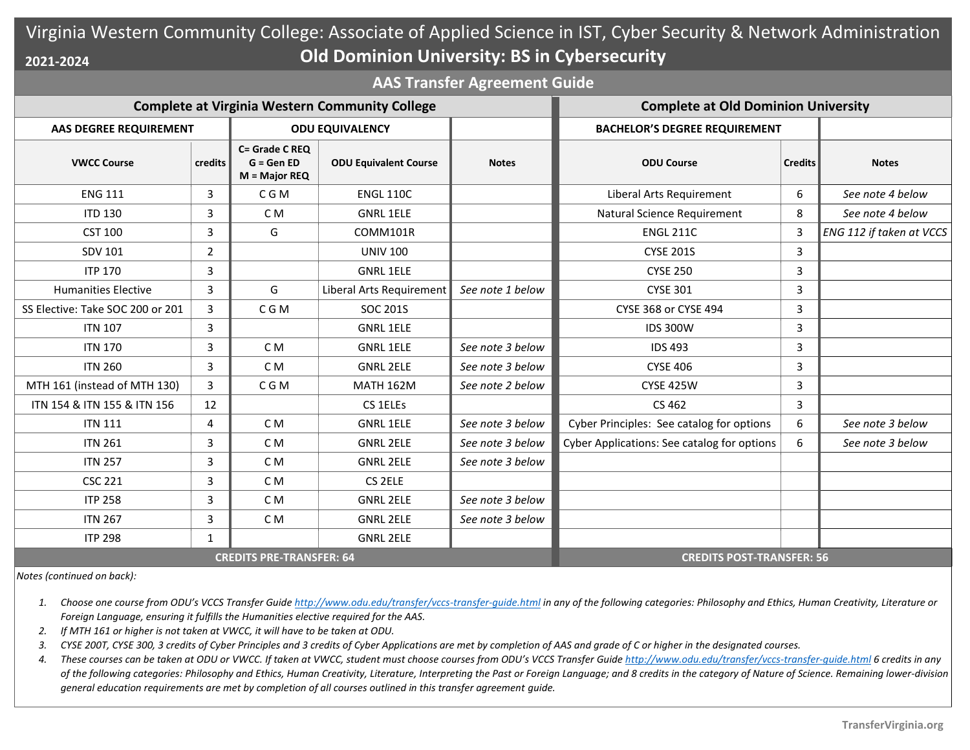## Virginia Western Community College: Associate of Applied Science in IST, Cyber Security & Network Administration **Old Dominion University: BS in Cybersecurity 2021-2024**

**AAS Transfer Agreement Guide**

| <b>Complete at Virginia Western Community College</b> |                |                                                  |                              |                  | <b>Complete at Old Dominion University</b>  |                |                          |
|-------------------------------------------------------|----------------|--------------------------------------------------|------------------------------|------------------|---------------------------------------------|----------------|--------------------------|
| AAS DEGREE REQUIREMENT                                |                | <b>ODU EQUIVALENCY</b>                           |                              |                  | <b>BACHELOR'S DEGREE REQUIREMENT</b>        |                |                          |
| <b>VWCC Course</b>                                    | credits        | C= Grade C REQ<br>$G = GenED$<br>$M = Major REQ$ | <b>ODU Equivalent Course</b> | <b>Notes</b>     | <b>ODU Course</b>                           | <b>Credits</b> | <b>Notes</b>             |
| <b>ENG 111</b>                                        | 3              | C G M                                            | <b>ENGL 110C</b>             |                  | Liberal Arts Requirement                    | 6              | See note 4 below         |
| <b>ITD 130</b>                                        | 3              | C <sub>M</sub>                                   | <b>GNRL 1ELE</b>             |                  | Natural Science Requirement                 | 8              | See note 4 below         |
| <b>CST 100</b>                                        | 3              | G                                                | COMM101R                     |                  | <b>ENGL 211C</b>                            | $\overline{3}$ | ENG 112 if taken at VCCS |
| SDV 101                                               | $\overline{2}$ |                                                  | <b>UNIV 100</b>              |                  | <b>CYSE 201S</b>                            | 3              |                          |
| <b>ITP 170</b>                                        | 3              |                                                  | <b>GNRL 1ELE</b>             |                  | <b>CYSE 250</b>                             | $\mathsf{3}$   |                          |
| <b>Humanities Elective</b>                            | 3              | G                                                | Liberal Arts Requirement     | See note 1 below | <b>CYSE 301</b>                             | 3              |                          |
| SS Elective: Take SOC 200 or 201                      | 3              | C G M                                            | <b>SOC 201S</b>              |                  | CYSE 368 or CYSE 494                        | 3              |                          |
| <b>ITN 107</b>                                        | 3              |                                                  | <b>GNRL 1ELE</b>             |                  | <b>IDS 300W</b>                             | 3              |                          |
| <b>ITN 170</b>                                        | 3              | C <sub>M</sub>                                   | <b>GNRL 1ELE</b>             | See note 3 below | <b>IDS 493</b>                              | 3              |                          |
| <b>ITN 260</b>                                        | 3              | C <sub>M</sub>                                   | <b>GNRL 2ELE</b>             | See note 3 below | <b>CYSE 406</b>                             | 3              |                          |
| MTH 161 (instead of MTH 130)                          | 3              | C G M                                            | <b>MATH 162M</b>             | See note 2 below | <b>CYSE 425W</b>                            | 3              |                          |
| ITN 154 & ITN 155 & ITN 156                           | 12             |                                                  | CS 1ELEs                     |                  | CS 462                                      | 3              |                          |
| <b>ITN 111</b>                                        | 4              | C <sub>M</sub>                                   | <b>GNRL 1ELE</b>             | See note 3 below | Cyber Principles: See catalog for options   | 6              | See note 3 below         |
| <b>ITN 261</b>                                        | 3              | C <sub>M</sub>                                   | <b>GNRL 2ELE</b>             | See note 3 below | Cyber Applications: See catalog for options | 6              | See note 3 below         |
| <b>ITN 257</b>                                        | 3              | C <sub>M</sub>                                   | <b>GNRL 2ELE</b>             | See note 3 below |                                             |                |                          |
| <b>CSC 221</b>                                        | 3              | C <sub>M</sub>                                   | CS 2ELE                      |                  |                                             |                |                          |
| <b>ITP 258</b>                                        | 3              | C <sub>M</sub>                                   | <b>GNRL 2ELE</b>             | See note 3 below |                                             |                |                          |
| <b>ITN 267</b>                                        | 3              | C <sub>M</sub>                                   | <b>GNRL 2ELE</b>             | See note 3 below |                                             |                |                          |
| <b>ITP 298</b>                                        | 1              |                                                  | <b>GNRL 2ELE</b>             |                  |                                             |                |                          |
| <b>CREDITS PRE-TRANSFER: 64</b>                       |                |                                                  |                              |                  | <b>CREDITS POST-TRANSFER: 56</b>            |                |                          |

*Notes (continued on back):*

- 1. Choose one course from ODU's VCCS Transfer Guide http://www.odu.edu/transfer/vccs-transfer-quide.html in any of the following categories: Philosophy and Ethics, Human Creativity, Literature or *Foreign Language, ensuring it fulfills the Humanities elective required for the AAS.*
- *2. If MTH 161 or higher is not taken at VWCC, it will have to be taken at ODU.*
- *3. CYSE 200T, CYSE 300, 3 credits of Cyber Principles and 3 credits of Cyber Applications are met by completion of AAS and grade of C or higher in the designated courses.*
- 4. These courses can be taken at ODU or VWCC. If taken at VWCC, student must choose courses from ODU's VCCS Transfer Guid[e http://www.odu.edu/transfer/vccs-transfer-guide.html](http://www.odu.edu/transfer/vccs-transfer-guide.html) 6 credits in any of the following categories: Philosophy and Ethics, Human Creativity, Literature, Interpreting the Past or Foreign Language; and 8 credits in the category of Nature of Science. Remaining lower-division *general education requirements are met by completion of all courses outlined in this transfer agreement guide.*